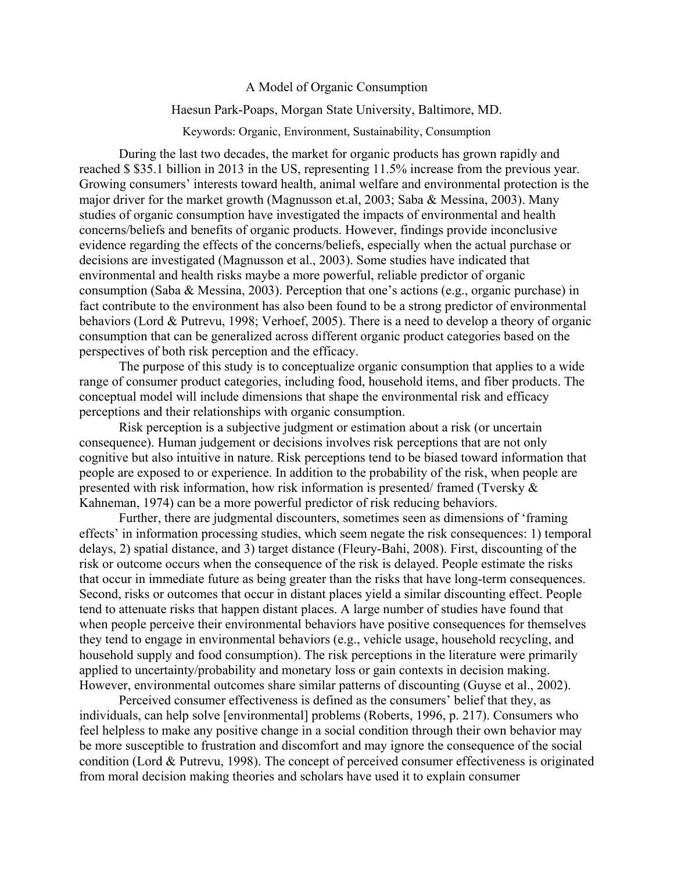## A Model of Organic Consumption

## Haesun Park-Poaps, Morgan State University, Baltimore, MD.

Keywords: Organic, Environment, Sustainability, Consumption

During the last two decades, the market for organic products has grown rapidly and reached \$ \$35.1 billion in 2013 in the US, representing 11.5% increase from the previous year. Growing consumers' interests toward health, animal welfare and environmental protection is the major driver for the market growth (Magnusson et.al, 2003; Saba & Messina, 2003). Many studies of organic consumption have investigated the impacts of environmental and health concerns/beliefs and benefits of organic products. However, findings provide inconclusive evidence regarding the effects of the concerns/beliefs, especially when the actual purchase or decisions are investigated (Magnusson et al., 2003). Some studies have indicated that environmental and health risks maybe a more powerful, reliable predictor of organic consumption (Saba & Messina, 2003). Perception that one's actions (e.g., organic purchase) in fact contribute to the environment has also been found to be a strong predictor of environmental behaviors (Lord & Putrevu, 1998; Verhoef, 2005). There is a need to develop a theory of organic consumption that can be generalized across different organic product categories based on the perspectives of both risk perception and the efficacy.

The purpose of this study is to conceptualize organic consumption that applies to a wide range of consumer product categories, including food, household items, and fiber products. The conceptual model will include dimensions that shape the environmental risk and efficacy perceptions and their relationships with organic consumption.

Risk perception is a subjective judgment or estimation about a risk (or uncertain consequence). Human judgement or decisions involves risk perceptions that are not only cognitive but also intuitive in nature. Risk perceptions tend to be biased toward information that people are exposed to or experience. In addition to the probability of the risk, when people are presented with risk information, how risk information is presented/ framed (Tversky & Kahneman, 1974) can be a more powerful predictor of risk reducing behaviors.

Further, there are judgmental discounters, sometimes seen as dimensions of 'framing effects' in information processing studies, which seem negate the risk consequences: 1) temporal delays, 2) spatial distance, and 3) target distance (Fleury-Bahi, 2008). First, discounting of the risk or outcome occurs when the consequence of the risk is delayed. People estimate the risks that occur in immediate future as being greater than the risks that have long-term consequences. Second, risks or outcomes that occur in distant places yield a similar discounting effect. People tend to attenuate risks that happen distant places. A large number of studies have found that when people perceive their environmental behaviors have positive consequences for themselves they tend to engage in environmental behaviors (e.g., vehicle usage, household recycling, and household supply and food consumption). The risk perceptions in the literature were primarily applied to uncertainty/probability and monetary loss or gain contexts in decision making. However, environmental outcomes share similar patterns of discounting (Guyse et al., 2002).

Perceived consumer effectiveness is defined as the consumers' belief that they, as individuals, can help solve [environmental] problems (Roberts, 1996, p. 217). Consumers who feel helpless to make any positive change in a social condition through their own behavior may be more susceptible to frustration and discomfort and may ignore the consequence of the social condition (Lord & Putrevu, 1998). The concept of perceived consumer effectiveness is originated from moral decision making theories and scholars have used it to explain consumer